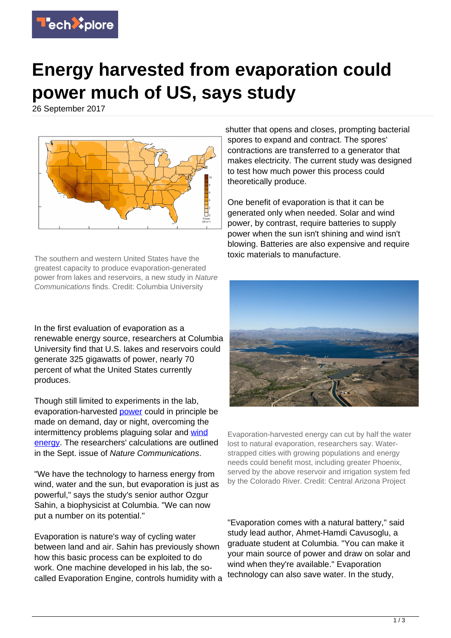

## **Energy harvested from evaporation could power much of US, says study**

26 September 2017



The southern and western United States have the greatest capacity to produce evaporation-generated power from lakes and reservoirs, a new study in Nature Communications finds. Credit: Columbia University

In the first evaluation of evaporation as a renewable energy source, researchers at Columbia University find that U.S. lakes and reservoirs could generate 325 gigawatts of power, nearly 70 percent of what the United States currently produces.

Though still limited to experiments in the lab, evaporation-harvested [power](https://techxplore.com/tags/power/) could in principle be made on demand, day or night, overcoming the intermittency problems plaguing solar and [wind](https://techxplore.com/tags/wind+energy/) [energy.](https://techxplore.com/tags/wind+energy/) The researchers' calculations are outlined in the Sept. issue of Nature Communications.

"We have the technology to harness energy from wind, water and the sun, but evaporation is just as powerful," says the study's senior author Ozgur Sahin, a biophysicist at Columbia. "We can now put a number on its potential."

Evaporation is nature's way of cycling water between land and air. Sahin has previously shown how this basic process can be exploited to do work. One machine developed in his lab, the socalled Evaporation Engine, controls humidity with a

shutter that opens and closes, prompting bacterial spores to expand and contract. The spores' contractions are transferred to a generator that makes electricity. The current study was designed to test how much power this process could theoretically produce.

One benefit of evaporation is that it can be generated only when needed. Solar and wind power, by contrast, require batteries to supply power when the sun isn't shining and wind isn't blowing. Batteries are also expensive and require toxic materials to manufacture.



Evaporation-harvested energy can cut by half the water lost to natural evaporation, researchers say. Waterstrapped cities with growing populations and energy needs could benefit most, including greater Phoenix, served by the above reservoir and irrigation system fed by the Colorado River. Credit: Central Arizona Project

"Evaporation comes with a natural battery," said study lead author, Ahmet-Hamdi Cavusoglu, a graduate student at Columbia. "You can make it your main source of power and draw on solar and wind when they're available." Evaporation technology can also save water. In the study,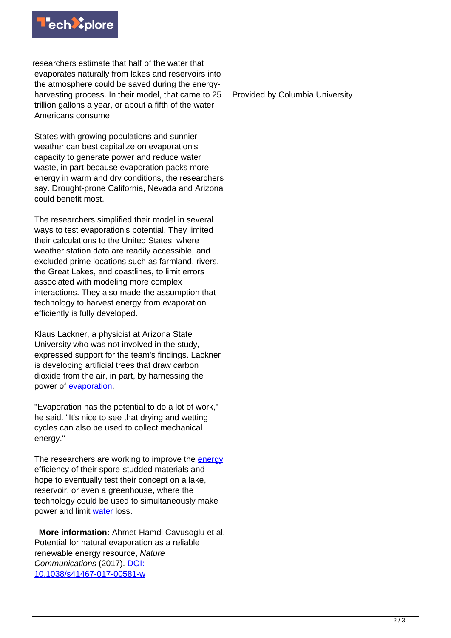

researchers estimate that half of the water that evaporates naturally from lakes and reservoirs into the atmosphere could be saved during the energyharvesting process. In their model, that came to 25 trillion gallons a year, or about a fifth of the water Americans consume.

States with growing populations and sunnier weather can best capitalize on evaporation's capacity to generate power and reduce water waste, in part because evaporation packs more energy in warm and dry conditions, the researchers say. Drought-prone California, Nevada and Arizona could benefit most.

The researchers simplified their model in several ways to test evaporation's potential. They limited their calculations to the United States, where weather station data are readily accessible, and excluded prime locations such as farmland, rivers, the Great Lakes, and coastlines, to limit errors associated with modeling more complex interactions. They also made the assumption that technology to harvest energy from evaporation efficiently is fully developed.

Klaus Lackner, a physicist at Arizona State University who was not involved in the study, expressed support for the team's findings. Lackner is developing artificial trees that draw carbon dioxide from the air, in part, by harnessing the power of [evaporation](https://techxplore.com/tags/evaporation/).

"Evaporation has the potential to do a lot of work," he said. "It's nice to see that drying and wetting cycles can also be used to collect mechanical energy."

The researchers are working to improve the [energy](https://techxplore.com/tags/energy/) efficiency of their spore-studded materials and hope to eventually test their concept on a lake, reservoir, or even a greenhouse, where the technology could be used to simultaneously make power and limit [water](https://techxplore.com/tags/water/) loss.

 **More information:** Ahmet-Hamdi Cavusoglu et al, Potential for natural evaporation as a reliable renewable energy resource, Nature Communications (2017). [DOI:](http://dx.doi.org/10.1038/s41467-017-00581-w) [10.1038/s41467-017-00581-w](http://dx.doi.org/10.1038/s41467-017-00581-w)

Provided by Columbia University